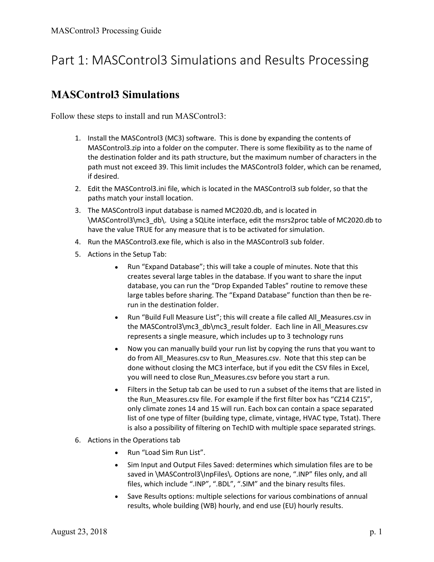## Part 1: MASControl3 Simulations and Results Processing

#### MASControl3 Simulations

Follow these steps to install and run MASControl3:

- 1. Install the MASControl3 (MC3) software. This is done by expanding the contents of MASControl3.zip into a folder on the computer. There is some flexibility as to the name of the destination folder and its path structure, but the maximum number of characters in the path must not exceed 39. This limit includes the MASControl3 folder, which can be renamed, if desired.
- 2. Edit the MASControl3.ini file, which is located in the MASControl3 sub folder, so that the paths match your install location.
- 3. The MASControl3 input database is named MC2020.db, and is located in \MASControl3\mc3\_db\. Using a SQLite interface, edit the msrs2proc table of MC2020.db to have the value TRUE for any measure that is to be activated for simulation.
- 4. Run the MASControl3.exe file, which is also in the MASControl3 sub folder.
- 5. Actions in the Setup Tab:
	- Run "Expand Database"; this will take a couple of minutes. Note that this creates several large tables in the database. If you want to share the input database, you can run the "Drop Expanded Tables" routine to remove these large tables before sharing. The "Expand Database" function than then be rerun in the destination folder.
	- Run "Build Full Measure List"; this will create a file called All\_Measures.csv in the MASControl3\mc3\_db\mc3\_result folder. Each line in All\_Measures.csv represents a single measure, which includes up to 3 technology runs
	- Now you can manually build your run list by copying the runs that you want to do from All\_Measures.csv to Run\_Measures.csv. Note that this step can be done without closing the MC3 interface, but if you edit the CSV files in Excel, you will need to close Run\_Measures.csv before you start a run.
	- Filters in the Setup tab can be used to run a subset of the items that are listed in the Run\_Measures.csv file. For example if the first filter box has "CZ14 CZ15", only climate zones 14 and 15 will run. Each box can contain a space separated list of one type of filter (building type, climate, vintage, HVAC type, Tstat). There is also a possibility of filtering on TechID with multiple space separated strings.
- 6. Actions in the Operations tab
	- Run "Load Sim Run List".
	- Sim Input and Output Files Saved: determines which simulation files are to be saved in \MASControl3\InpFiles\. Options are none, ".INP" files only, and all files, which include ".INP", ".BDL", ".SIM" and the binary results files.
	- Save Results options: multiple selections for various combinations of annual results, whole building (WB) hourly, and end use (EU) hourly results.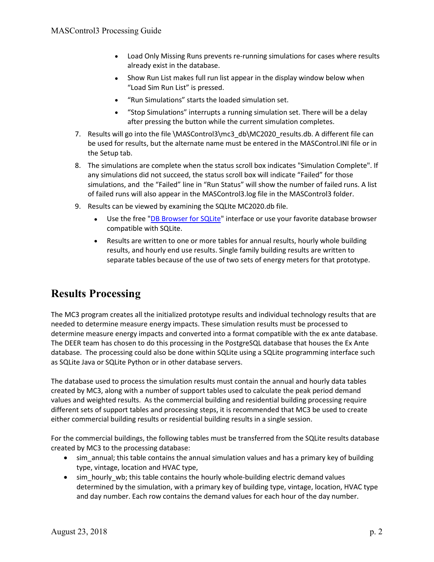- Load Only Missing Runs prevents re-running simulations for cases where results already exist in the database.
- Show Run List makes full run list appear in the display window below when "Load Sim Run List" is pressed.
- "Run Simulations" starts the loaded simulation set.
- "Stop Simulations" interrupts a running simulation set. There will be a delay after pressing the button while the current simulation completes.
- 7. Results will go into the file \MASControl3\mc3\_db\MC2020\_results.db. A different file can be used for results, but the alternate name must be entered in the MASControl.INI file or in the Setup tab.
- 8. The simulations are complete when the status scroll box indicates "Simulation Complete". If any simulations did not succeed, the status scroll box will indicate "Failed" for those simulations, and the "Failed" line in "Run Status" will show the number of failed runs. A list of failed runs will also appear in the MASControl3.log file in the MASControl3 folder.
- 9. Results can be viewed by examining the SQLIte MC2020.db file.
	- Use the free "DB Browser for SQLite" interface or use your favorite database browser compatible with SQLite.
	- Results are written to one or more tables for annual results, hourly whole building results, and hourly end use results. Single family building results are written to separate tables because of the use of two sets of energy meters for that prototype.

## Results Processing

The MC3 program creates all the initialized prototype results and individual technology results that are needed to determine measure energy impacts. These simulation results must be processed to determine measure energy impacts and converted into a format compatible with the ex ante database. The DEER team has chosen to do this processing in the PostgreSQL database that houses the Ex Ante database. The processing could also be done within SQLite using a SQLite programming interface such as SQLite Java or SQLite Python or in other database servers.

The database used to process the simulation results must contain the annual and hourly data tables created by MC3, along with a number of support tables used to calculate the peak period demand values and weighted results. As the commercial building and residential building processing require different sets of support tables and processing steps, it is recommended that MC3 be used to create either commercial building results or residential building results in a single session.

For the commercial buildings, the following tables must be transferred from the SQLite results database created by MC3 to the processing database:

- sim\_annual; this table contains the annual simulation values and has a primary key of building type, vintage, location and HVAC type,
- sim hourly wb; this table contains the hourly whole-building electric demand values determined by the simulation, with a primary key of building type, vintage, location, HVAC type and day number. Each row contains the demand values for each hour of the day number.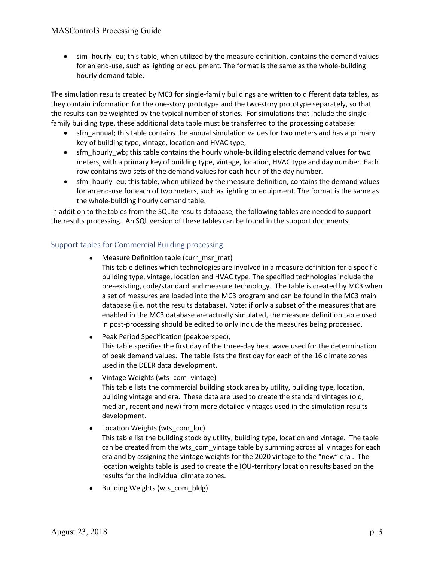#### MASControl3 Processing Guide

• sim hourly eu; this table, when utilized by the measure definition, contains the demand values for an end-use, such as lighting or equipment. The format is the same as the whole-building hourly demand table.

The simulation results created by MC3 for single-family buildings are written to different data tables, as they contain information for the one-story prototype and the two-story prototype separately, so that the results can be weighted by the typical number of stories. For simulations that include the singlefamily building type, these additional data table must be transferred to the processing database:

- sfm annual; this table contains the annual simulation values for two meters and has a primary key of building type, vintage, location and HVAC type,
- sfm hourly wb; this table contains the hourly whole-building electric demand values for two meters, with a primary key of building type, vintage, location, HVAC type and day number. Each row contains two sets of the demand values for each hour of the day number.
- sfm hourly eu; this table, when utilized by the measure definition, contains the demand values for an end-use for each of two meters, such as lighting or equipment. The format is the same as the whole-building hourly demand table.

In addition to the tables from the SQLite results database, the following tables are needed to support the results processing. An SQL version of these tables can be found in the support documents.

#### Support tables for Commercial Building processing:

- Measure Definition table (curr\_msr\_mat)
	- This table defines which technologies are involved in a measure definition for a specific building type, vintage, location and HVAC type. The specified technologies include the pre-existing, code/standard and measure technology. The table is created by MC3 when a set of measures are loaded into the MC3 program and can be found in the MC3 main database (i.e. not the results database). Note: if only a subset of the measures that are enabled in the MC3 database are actually simulated, the measure definition table used in post-processing should be edited to only include the measures being processed.
- Peak Period Specification (peakperspec), This table specifies the first day of the three-day heat wave used for the determination of peak demand values. The table lists the first day for each of the 16 climate zones used in the DEER data development.
- Vintage Weights (wts com vintage) This table lists the commercial building stock area by utility, building type, location, building vintage and era. These data are used to create the standard vintages (old, median, recent and new) from more detailed vintages used in the simulation results development.
- Location Weights (wts\_com\_loc) This table list the building stock by utility, building type, location and vintage. The table can be created from the wts\_com\_vintage table by summing across all vintages for each era and by assigning the vintage weights for the 2020 vintage to the "new" era . The location weights table is used to create the IOU-territory location results based on the results for the individual climate zones.
- Building Weights (wts\_com\_bldg)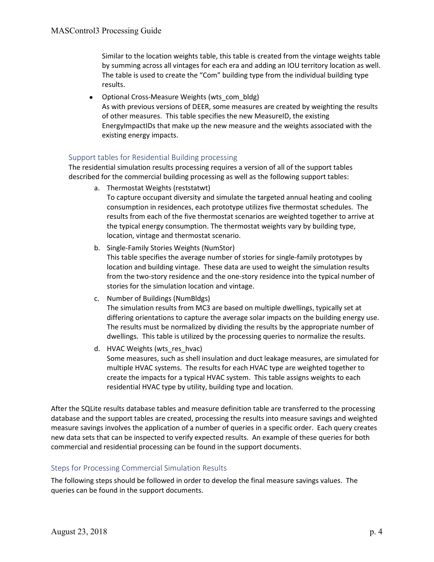Similar to the location weights table, this table is created from the vintage weights table by summing across all vintages for each era and adding an IOU territory location as well. The table is used to create the "Com" building type from the individual building type results.

• Optional Cross-Measure Weights (wts\_com\_bldg) As with previous versions of DEER, some measures are created by weighting the results of other measures. This table specifies the new MeasureID, the existing EnergyImpactIDs that make up the new measure and the weights associated with the existing energy impacts.

#### Support tables for Residential Building processing

The residential simulation results processing requires a version of all of the support tables described for the commercial building processing as well as the following support tables:

- a. Thermostat Weights (reststatwt) To capture occupant diversity and simulate the targeted annual heating and cooling consumption in residences, each prototype utilizes five thermostat schedules. The results from each of the five thermostat scenarios are weighted together to arrive at the typical energy consumption. The thermostat weights vary by building type, location, vintage and thermostat scenario.
- b. Single-Family Stories Weights (NumStor)

This table specifies the average number of stories for single-family prototypes by location and building vintage. These data are used to weight the simulation results from the two-story residence and the one-story residence into the typical number of stories for the simulation location and vintage.

- c. Number of Buildings (NumBldgs) The simulation results from MC3 are based on multiple dwellings, typically set at differing orientations to capture the average solar impacts on the building energy use. The results must be normalized by dividing the results by the appropriate number of dwellings. This table is utilized by the processing queries to normalize the results.
- d. HVAC Weights (wts res hvac) Some measures, such as shell insulation and duct leakage measures, are simulated for multiple HVAC systems. The results for each HVAC type are weighted together to create the impacts for a typical HVAC system. This table assigns weights to each residential HVAC type by utility, building type and location.

After the SQLite results database tables and measure definition table are transferred to the processing database and the support tables are created, processing the results into measure savings and weighted measure savings involves the application of a number of queries in a specific order. Each query creates new data sets that can be inspected to verify expected results. An example of these queries for both commercial and residential processing can be found in the support documents.

#### Steps for Processing Commercial Simulation Results

The following steps should be followed in order to develop the final measure savings values. The queries can be found in the support documents.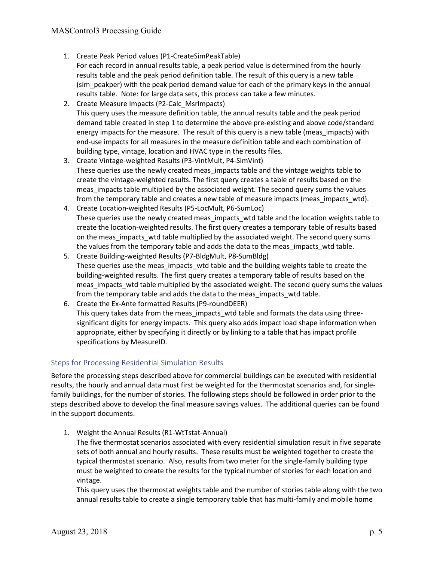- 1. Create Peak Period values (P1-CreateSimPeakTable) For each record in annual results table, a peak period value is determined from the hourly results table and the peak period definition table. The result of this query is a new table (sim peakper) with the peak period demand value for each of the primary keys in the annual results table. Note: for large data sets, this process can take a few minutes.
- 2. Create Measure Impacts (P2-Calc\_MsrImpacts) This query uses the measure definition table, the annual results table and the peak period demand table created in step 1 to determine the above pre-existing and above code/standard energy impacts for the measure. The result of this query is a new table (meas\_impacts) with end-use impacts for all measures in the measure definition table and each combination of building type, vintage, location and HVAC type in the results files.
- 3. Create Vintage-weighted Results (P3-VintMult, P4-SimVint) These queries use the newly created meas impacts table and the vintage weights table to create the vintage-weighted results. The first query creates a table of results based on the meas impacts table multiplied by the associated weight. The second query sums the values from the temporary table and creates a new table of measure impacts (meas impacts wtd).
- 4. Create Location-weighted Results (P5-LocMult, P6-SumLoc) These queries use the newly created meas\_impacts\_wtd table and the location weights table to create the location-weighted results. The first query creates a temporary table of results based on the meas\_impacts\_wtd table multiplied by the associated weight. The second query sums the values from the temporary table and adds the data to the meas impacts wtd table.
- 5. Create Building-weighted Results (P7-BldgMult, P8-SumBldg) These queries use the meas\_impacts\_wtd table and the building weights table to create the building-weighted results. The first query creates a temporary table of results based on the meas impacts wtd table multiplied by the associated weight. The second query sums the values from the temporary table and adds the data to the meas impacts wtd table.
- 6. Create the Ex-Ante formatted Results (P9-roundDEER) This query takes data from the meas impacts wtd table and formats the data using threesignificant digits for energy impacts. This query also adds impact load shape information when appropriate, either by specifying it directly or by linking to a table that has impact profile specifications by MeasureID.

#### Steps for Processing Residential Simulation Results

Before the processing steps described above for commercial buildings can be executed with residential results, the hourly and annual data must first be weighted for the thermostat scenarios and, for singlefamily buildings, for the number of stories. The following steps should be followed in order prior to the steps described above to develop the final measure savings values. The additional queries can be found in the support documents.

1. Weight the Annual Results (R1-WtTstat-Annual)

The five thermostat scenarios associated with every residential simulation result in five separate sets of both annual and hourly results. These results must be weighted together to create the typical thermostat scenario. Also, results from two meter for the single-family building type must be weighted to create the results for the typical number of stories for each location and vintage.

This query uses the thermostat weights table and the number of stories table along with the two annual results table to create a single temporary table that has multi-family and mobile home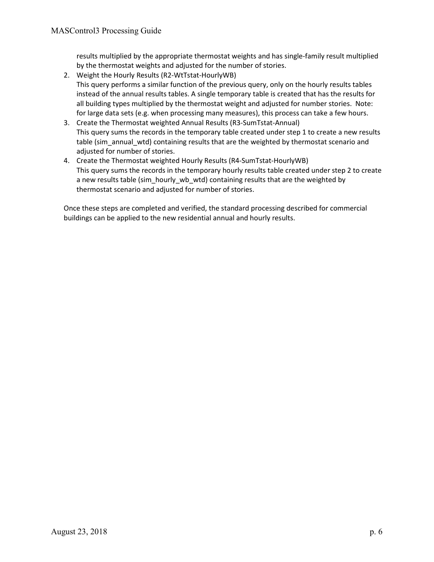results multiplied by the appropriate thermostat weights and has single-family result multiplied by the thermostat weights and adjusted for the number of stories.

- 2. Weight the Hourly Results (R2-WtTstat-HourlyWB) This query performs a similar function of the previous query, only on the hourly results tables instead of the annual results tables. A single temporary table is created that has the results for all building types multiplied by the thermostat weight and adjusted for number stories. Note: for large data sets (e.g. when processing many measures), this process can take a few hours.
- 3. Create the Thermostat weighted Annual Results (R3-SumTstat-Annual) This query sums the records in the temporary table created under step 1 to create a new results table (sim\_annual\_wtd) containing results that are the weighted by thermostat scenario and adjusted for number of stories.
- 4. Create the Thermostat weighted Hourly Results (R4-SumTstat-HourlyWB) This query sums the records in the temporary hourly results table created under step 2 to create a new results table (sim hourly wb wtd) containing results that are the weighted by thermostat scenario and adjusted for number of stories.

Once these steps are completed and verified, the standard processing described for commercial buildings can be applied to the new residential annual and hourly results.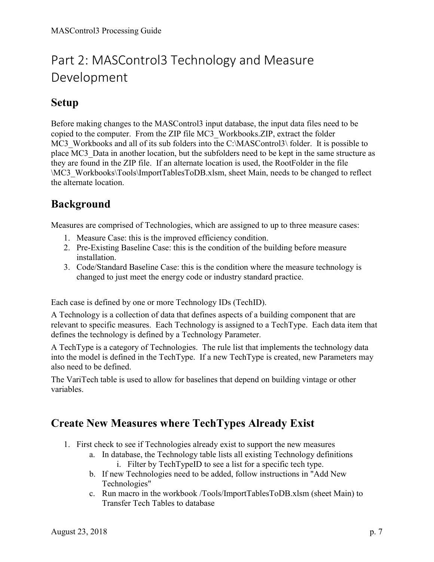# Part 2: MASControl3 Technology and Measure Development

#### Setup

Before making changes to the MASControl3 input database, the input data files need to be copied to the computer. From the ZIP file MC3\_Workbooks.ZIP, extract the folder MC3 Workbooks and all of its sub folders into the C:\MASControl3\ folder. It is possible to place MC3\_Data in another location, but the subfolders need to be kept in the same structure as they are found in the ZIP file. If an alternate location is used, the RootFolder in the file \MC3\_Workbooks\Tools\ImportTablesToDB.xlsm, sheet Main, needs to be changed to reflect the alternate location.

## Background

Measures are comprised of Technologies, which are assigned to up to three measure cases:

- 1. Measure Case: this is the improved efficiency condition.
- 2. Pre-Existing Baseline Case: this is the condition of the building before measure installation.
- 3. Code/Standard Baseline Case: this is the condition where the measure technology is changed to just meet the energy code or industry standard practice.

Each case is defined by one or more Technology IDs (TechID).

A Technology is a collection of data that defines aspects of a building component that are relevant to specific measures. Each Technology is assigned to a TechType. Each data item that defines the technology is defined by a Technology Parameter.

A TechType is a category of Technologies. The rule list that implements the technology data into the model is defined in the TechType. If a new TechType is created, new Parameters may also need to be defined.

The VariTech table is used to allow for baselines that depend on building vintage or other variables.

#### Create New Measures where TechTypes Already Exist

- 1. First check to see if Technologies already exist to support the new measures
	- a. In database, the Technology table lists all existing Technology definitions i. Filter by TechTypeID to see a list for a specific tech type.
	- b. If new Technologies need to be added, follow instructions in "Add New Technologies"
	- c. Run macro in the workbook /Tools/ImportTablesToDB.xlsm (sheet Main) to Transfer Tech Tables to database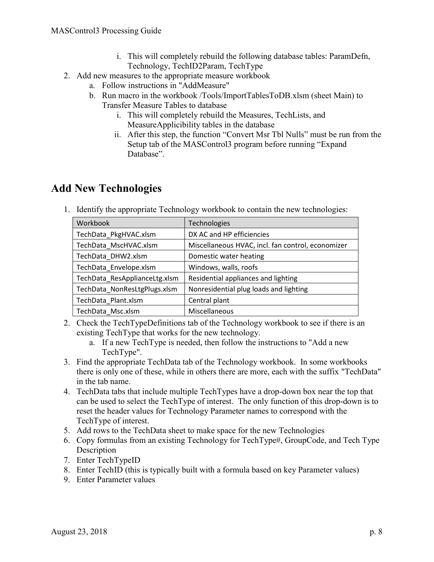- i. This will completely rebuild the following database tables: ParamDefn, Technology, TechID2Param, TechType
- 2. Add new measures to the appropriate measure workbook
	- a. Follow instructions in "AddMeasure"
	- b. Run macro in the workbook /Tools/ImportTablesToDB.xlsm (sheet Main) to Transfer Measure Tables to database
		- i. This will completely rebuild the Measures, TechLists, and MeasureApplicibility tables in the database
		- ii. After this step, the function "Convert Msr Tbl Nulls" must be run from the Setup tab of the MASControl3 program before running "Expand Database".

### Add New Technologies

1. Identify the appropriate Technology workbook to contain the new technologies:

| Workbook                      | <b>Technologies</b>                               |
|-------------------------------|---------------------------------------------------|
| TechData_PkgHVAC.xlsm         | DX AC and HP efficiencies                         |
| TechData MscHVAC.xlsm         | Miscellaneous HVAC, incl. fan control, economizer |
| TechData DHW2.xlsm            | Domestic water heating                            |
| TechData Envelope.xlsm        | Windows, walls, roofs                             |
| TechData_ResApplianceLtg.xlsm | Residential appliances and lighting               |
| TechData_NonResLtgPlugs.xlsm  | Nonresidential plug loads and lighting            |
| TechData Plant.xlsm           | Central plant                                     |
| TechData Msc.xlsm             | Miscellaneous                                     |

- 2. Check the TechTypeDefinitions tab of the Technology workbook to see if there is an existing TechType that works for the new technology.
	- a. If a new TechType is needed, then follow the instructions to "Add a new TechType".
- 3. Find the appropriate TechData tab of the Technology workbook. In some workbooks there is only one of these, while in others there are more, each with the suffix "TechData" in the tab name.
- 4. TechData tabs that include multiple TechTypes have a drop-down box near the top that can be used to select the TechType of interest. The only function of this drop-down is to reset the header values for Technology Parameter names to correspond with the TechType of interest.
- 5. Add rows to the TechData sheet to make space for the new Technologies
- 6. Copy formulas from an existing Technology for TechType#, GroupCode, and Tech Type Description
- 7. Enter TechTypeID
- 8. Enter TechID (this is typically built with a formula based on key Parameter values)
- 9. Enter Parameter values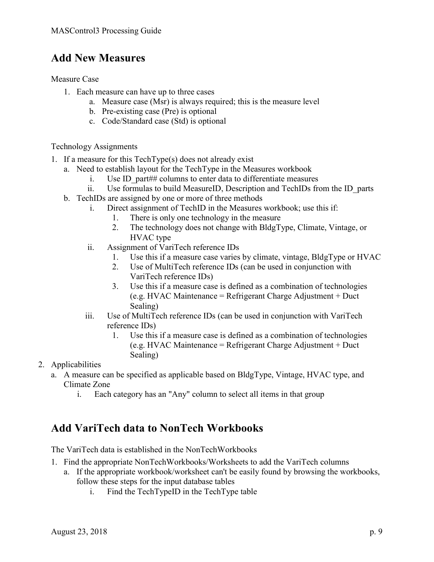## Add New Measures

Measure Case

- 1. Each measure can have up to three cases
	- a. Measure case (Msr) is always required; this is the measure level
	- b. Pre-existing case (Pre) is optional
	- c. Code/Standard case (Std) is optional

Technology Assignments

- 1. If a measure for this TechType(s) does not already exist
	- a. Need to establish layout for the TechType in the Measures workbook
		- i. Use ID part## columns to enter data to differentiate measures
		- ii. Use formulas to build MeasureID, Description and TechIDs from the ID\_parts
	- b. TechIDs are assigned by one or more of three methods
		- i. Direct assignment of TechID in the Measures workbook; use this if:
			- 1. There is only one technology in the measure
			- 2. The technology does not change with BldgType, Climate, Vintage, or HVAC type
		- ii. Assignment of VariTech reference IDs
			- 1. Use this if a measure case varies by climate, vintage, BldgType or HVAC
			- 2. Use of MultiTech reference IDs (can be used in conjunction with VariTech reference IDs)
			- 3. Use this if a measure case is defined as a combination of technologies (e.g. HVAC Maintenance = Refrigerant Charge Adjustment + Duct Sealing)
		- iii. Use of MultiTech reference IDs (can be used in conjunction with VariTech reference IDs)
			- 1. Use this if a measure case is defined as a combination of technologies (e.g. HVAC Maintenance = Refrigerant Charge Adjustment + Duct Sealing)

#### 2. Applicabilities

- a. A measure can be specified as applicable based on BldgType, Vintage, HVAC type, and Climate Zone
	- i. Each category has an "Any" column to select all items in that group

## Add VariTech data to NonTech Workbooks

The VariTech data is established in the NonTechWorkbooks

- 1. Find the appropriate NonTechWorkbooks/Worksheets to add the VariTech columns
	- a. If the appropriate workbook/worksheet can't be easily found by browsing the workbooks, follow these steps for the input database tables
		- i. Find the TechTypeID in the TechType table